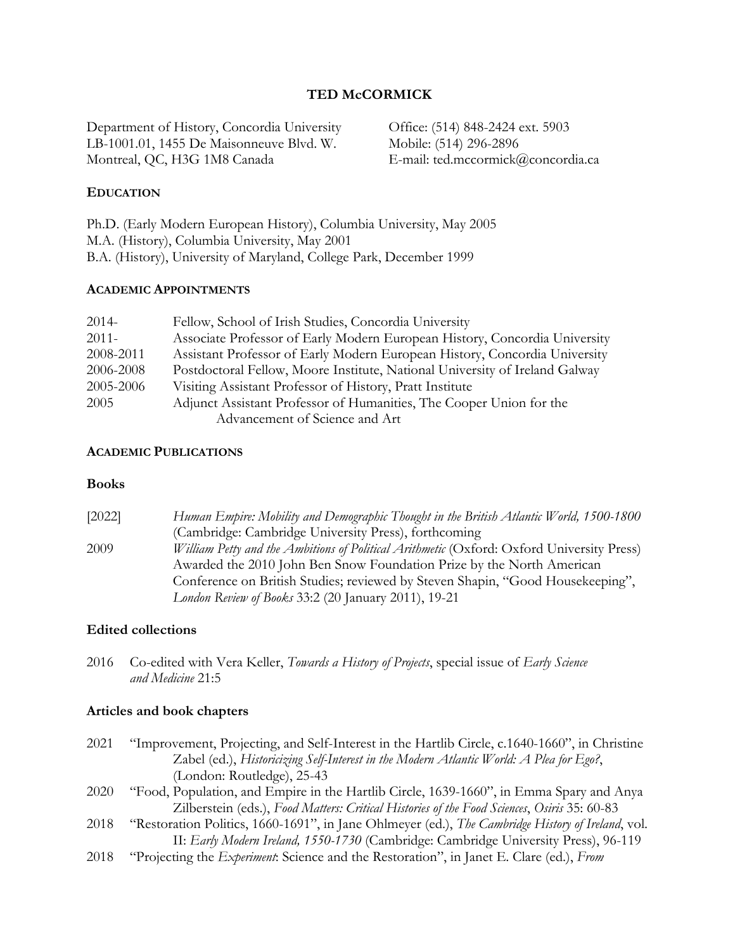### **TED McCORMICK**

Department of History, Concordia University LB-1001.01, 1455 De Maisonneuve Blvd. W. Montreal, QC, H3G 1M8 Canada

Office: (514) 848-2424 ext. 5903 Mobile: (514) 296-2896 E-mail: ted.mccormick@concordia.ca

#### **EDUCATION**

Ph.D. (Early Modern European History), Columbia University, May 2005 M.A. (History), Columbia University, May 2001 B.A. (History), University of Maryland, College Park, December 1999

#### **ACADEMIC APPOINTMENTS**

| $2014-$   | Fellow, School of Irish Studies, Concordia University                       |
|-----------|-----------------------------------------------------------------------------|
| $2011 -$  | Associate Professor of Early Modern European History, Concordia University  |
| 2008-2011 | Assistant Professor of Early Modern European History, Concordia University  |
| 2006-2008 | Postdoctoral Fellow, Moore Institute, National University of Ireland Galway |
| 2005-2006 | Visiting Assistant Professor of History, Pratt Institute                    |
| 2005      | Adjunct Assistant Professor of Humanities, The Cooper Union for the         |
|           | Advancement of Science and Art                                              |

#### **ACADEMIC PUBLICATIONS**

#### **Books**

| [2022] | Human Empire: Mobility and Demographic Thought in the British Atlantic World, 1500-1800   |
|--------|-------------------------------------------------------------------------------------------|
|        | (Cambridge: Cambridge University Press), forthcoming                                      |
| 2009   | William Petty and the Ambitions of Political Arithmetic (Oxford: Oxford University Press) |
|        | Awarded the 2010 John Ben Snow Foundation Prize by the North American                     |
|        | Conference on British Studies; reviewed by Steven Shapin, "Good Housekeeping",            |
|        | London Review of Books 33:2 (20 January 2011), 19-21                                      |

#### **Edited collections**

2016 Co-edited with Vera Keller, *Towards a History of Projects*, special issue of *Early Science and Medicine* 21:5

#### **Articles and book chapters**

- 2021 "Improvement, Projecting, and Self-Interest in the Hartlib Circle, c.1640-1660", in Christine Zabel (ed.), *Historicizing Self-Interest in the Modern Atlantic World: A Plea for Ego?*, (London: Routledge), 25-43 2020 "Food, Population, and Empire in the Hartlib Circle, 1639-1660", in Emma Spary and Anya Zilberstein (eds.), *Food Matters: Critical Histories of the Food Sciences*, *Osiris* 35: 60-83 2018 "Restoration Politics, 1660-1691", in Jane Ohlmeyer (ed.), *The Cambridge History of Ireland*, vol. II: *Early Modern Ireland, 1550-1730* (Cambridge: Cambridge University Press), 96-119
- 2018 "Projecting the *Experiment*: Science and the Restoration", in Janet E. Clare (ed.), *From*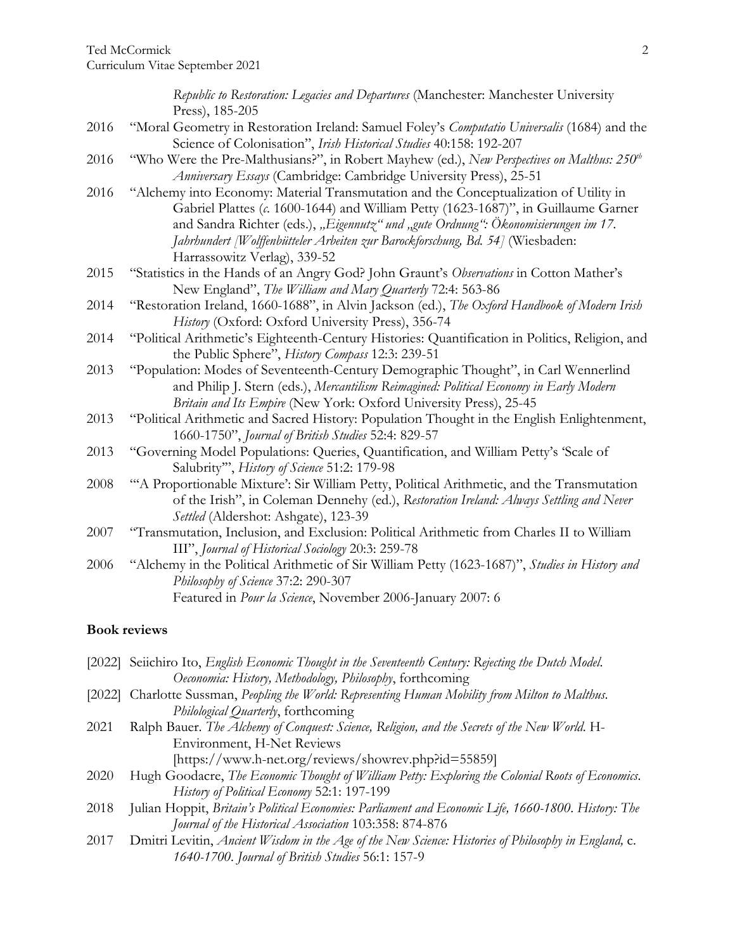|      | Republic to Restoration: Legacies and Departures (Manchester: Manchester University                                                                                          |
|------|------------------------------------------------------------------------------------------------------------------------------------------------------------------------------|
|      | Press), 185-205                                                                                                                                                              |
| 2016 | "Moral Geometry in Restoration Ireland: Samuel Foley's Computatio Universalis (1684) and the<br>Science of Colonisation", Irish Historical Studies 40:158: 192-207           |
| 2016 | "Who Were the Pre-Malthusians?", in Robert Mayhew (ed.), New Perspectives on Malthus: 250 <sup>th</sup><br>Anniversary Essays (Cambridge: Cambridge University Press), 25-51 |
| 2016 | "Alchemy into Economy: Material Transmutation and the Conceptualization of Utility in<br>Gabriel Plattes (c. 1600-1644) and William Petty (1623-1687)", in Guillaume Garner  |
|      | and Sandra Richter (eds.), "Eigennutz" und "gute Ordnung": Ökonomisierungen im 17.<br>Jahrhundert [Wolffenbütteler Arbeiten zur Barockforschung, Bd. 54] (Wiesbaden:         |
|      | Harrassowitz Verlag), 339-52                                                                                                                                                 |
| 2015 | "Statistics in the Hands of an Angry God? John Graunt's Observations in Cotton Mather's<br>New England", The William and Mary Quarterly 72:4: 563-86                         |
| 2014 | "Restoration Ireland, 1660-1688", in Alvin Jackson (ed.), The Oxford Handbook of Modern Irish                                                                                |
|      | History (Oxford: Oxford University Press), 356-74                                                                                                                            |
| 2014 | "Political Arithmetic's Eighteenth-Century Histories: Quantification in Politics, Religion, and<br>the Public Sphere", History Compass 12:3: 239-51                          |
| 2013 | "Population: Modes of Seventeenth-Century Demographic Thought", in Carl Wennerlind                                                                                           |
|      | and Philip J. Stern (eds.), Mercantilism Reimagined: Political Economy in Early Modern<br>Britain and Its Empire (New York: Oxford University Press), 25-45                  |
| 2013 | "Political Arithmetic and Sacred History: Population Thought in the English Enlightenment,<br>1660-1750", Journal of British Studies 52:4: 829-57                            |
| 2013 | "Governing Model Populations: Queries, Quantification, and William Petty's 'Scale of<br>Salubrity"', History of Science 51:2: 179-98                                         |
| 2008 | "A Proportionable Mixture': Sir William Petty, Political Arithmetic, and the Transmutation                                                                                   |
|      | of the Irish", in Coleman Dennehy (ed.), Restoration Ireland: Always Settling and Never<br>Settled (Aldershot: Ashgate), 123-39                                              |
| 2007 | "Transmutation, Inclusion, and Exclusion: Political Arithmetic from Charles II to William                                                                                    |
|      | III", Journal of Historical Sociology 20:3: 259-78                                                                                                                           |
| 2006 | "Alchemy in the Political Arithmetic of Sir William Petty (1623-1687)", Studies in History and<br>Philosophy of Science 37:2: 290-307                                        |
|      | Featured in Pour la Science, November 2006-January 2007: 6                                                                                                                   |

# **Book reviews**

| [2022] Seiichiro Ito, English Economic Thought in the Seventeenth Century: Rejecting the Dutch Model. |
|-------------------------------------------------------------------------------------------------------|
| Oeconomia: History, Methodology, Philosophy, forthcoming                                              |
| [2022] Charlotte Sussman, Peopling the World: Representing Human Mobility from Milton to Malthus.     |
| Philological Quarterly, forthcoming                                                                   |
| Ralph Bauer. The Alchemy of Conquest: Science, Religion, and the Secrets of the New World. H-         |
| Environment, H-Net Reviews                                                                            |
| [https://www.h-net.org/reviews/showrev.php?id=55859]                                                  |
| Hugh Goodacre, The Economic Thought of William Petty: Exploring the Colonial Roots of Economics.      |
| History of Political Economy 52:1: 197-199                                                            |
| Julian Hoppit, Britain's Political Economies: Parliament and Economic Life, 1660-1800. History: The   |
| Journal of the Historical Association 103:358: 874-876                                                |
| Dmitri Levitin, Ancient Wisdom in the Age of the New Science: Histories of Philosophy in England, c.  |
| 1640-1700. Journal of British Studies 56:1: 157-9                                                     |
|                                                                                                       |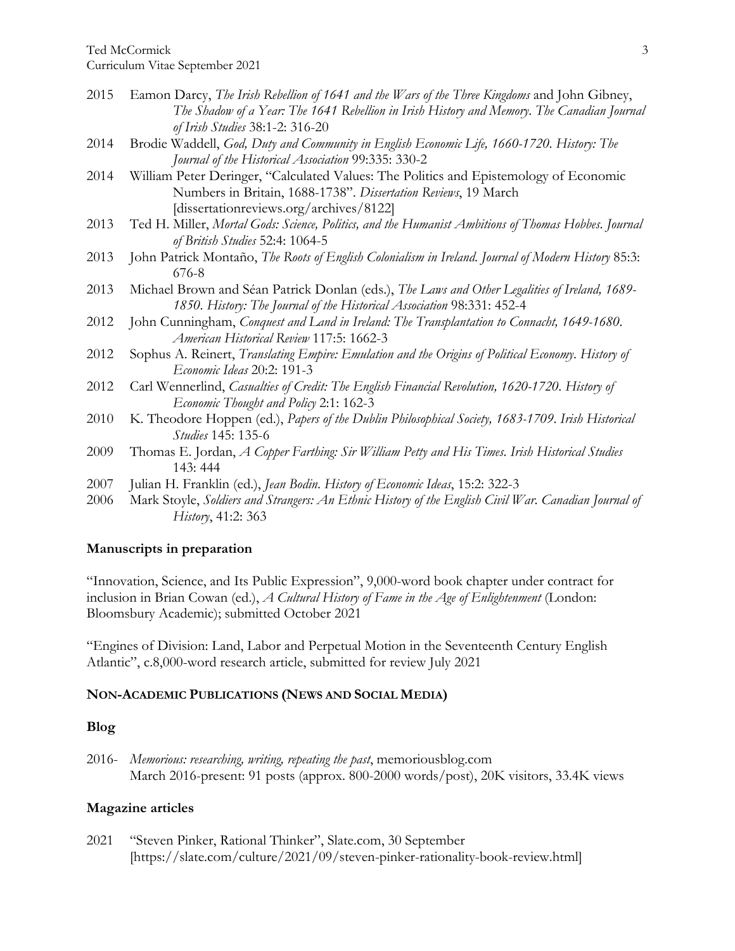Curriculum Vitae September 2021

- 2015 Eamon Darcy, *The Irish Rebellion of 1641 and the Wars of the Three Kingdoms* and John Gibney, *The Shadow of a Year: The 1641 Rebellion in Irish History and Memory*. *The Canadian Journal of Irish Studies* 38:1-2: 316-20
- 2014 Brodie Waddell, *God, Duty and Community in English Economic Life, 1660-1720*. *History: The Journal of the Historical Association* 99:335: 330-2
- 2014 William Peter Deringer, "Calculated Values: The Politics and Epistemology of Economic Numbers in Britain, 1688-1738". *Dissertation Reviews*, 19 March [dissertationreviews.org/archives/8122]
- 2013 Ted H. Miller, *Mortal Gods: Science, Politics, and the Humanist Ambitions of Thomas Hobbes*. *Journal of British Studies* 52:4: 1064-5
- 2013 John Patrick Montaño, *The Roots of English Colonialism in Ireland*. *Journal of Modern History* 85:3: 676-8
- 2013 Michael Brown and Séan Patrick Donlan (eds.), *The Laws and Other Legalities of Ireland, 1689- 1850*. *History: The Journal of the Historical Association* 98:331: 452-4
- 2012 John Cunningham, *Conquest and Land in Ireland: The Transplantation to Connacht, 1649-1680*. *American Historical Review* 117:5: 1662-3
- 2012 Sophus A. Reinert, *Translating Empire: Emulation and the Origins of Political Economy*. *History of Economic Ideas* 20:2: 191-3
- 2012 Carl Wennerlind, *Casualties of Credit: The English Financial Revolution, 1620-1720*. *History of Economic Thought and Policy* 2:1: 162-3
- 2010 K. Theodore Hoppen (ed.), *Papers of the Dublin Philosophical Society, 1683-1709*. *Irish Historical Studies* 145: 135-6
- 2009 Thomas E. Jordan, *A Copper Farthing: Sir William Petty and His Times*. *Irish Historical Studies* 143: 444
- 2007 Julian H. Franklin (ed.), *Jean Bodin*. *History of Economic Ideas*, 15:2: 322-3
- 2006 Mark Stoyle, *Soldiers and Strangers: An Ethnic History of the English Civil War*. *Canadian Journal of History*, 41:2: 363

### **Manuscripts in preparation**

"Innovation, Science, and Its Public Expression", 9,000-word book chapter under contract for inclusion in Brian Cowan (ed.), *A Cultural History of Fame in the Age of Enlightenment* (London: Bloomsbury Academic); submitted October 2021

"Engines of Division: Land, Labor and Perpetual Motion in the Seventeenth Century English Atlantic", c.8,000-word research article, submitted for review July 2021

#### **NON-ACADEMIC PUBLICATIONS (NEWS AND SOCIAL MEDIA)**

#### **Blog**

2016- *Memorious: researching, writing, repeating the past*, memoriousblog.com March 2016-present: 91 posts (approx. 800-2000 words/post), 20K visitors, 33.4K views

#### **Magazine articles**

2021 "Steven Pinker, Rational Thinker", Slate.com, 30 September [https://slate.com/culture/2021/09/steven-pinker-rationality-book-review.html]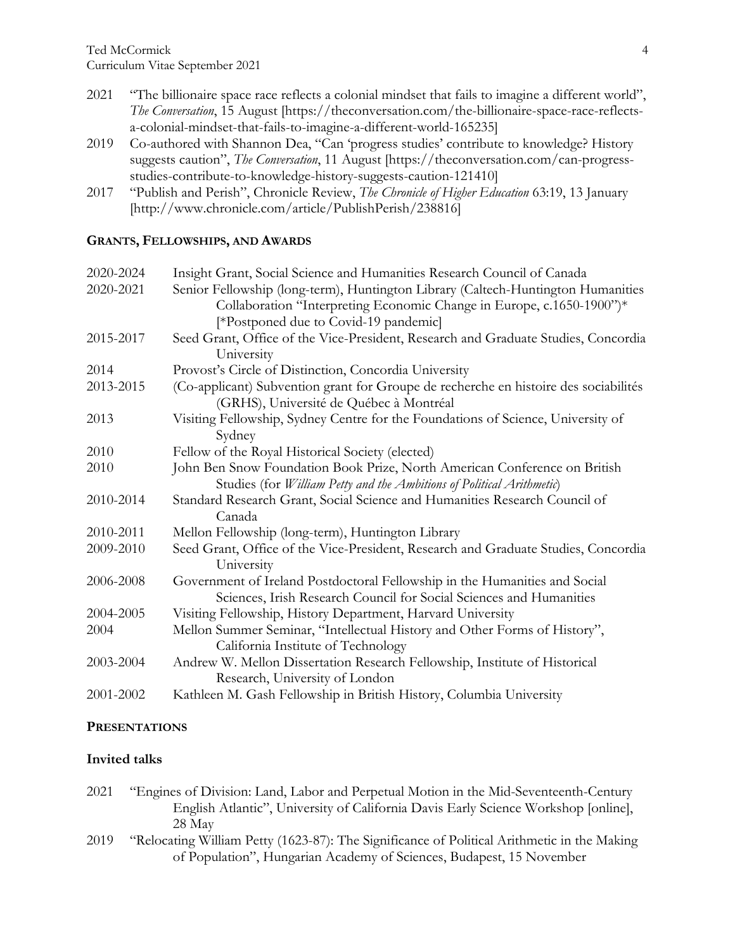- 2021 "The billionaire space race reflects a colonial mindset that fails to imagine a different world", *The Conversation*, 15 August [https://theconversation.com/the-billionaire-space-race-reflectsa-colonial-mindset-that-fails-to-imagine-a-different-world-165235]
- 2019 Co-authored with Shannon Dea, "Can 'progress studies' contribute to knowledge? History suggests caution", *The Conversation*, 11 August [https://theconversation.com/can-progressstudies-contribute-to-knowledge-history-suggests-caution-121410]
- 2017 "Publish and Perish", Chronicle Review, *The Chronicle of Higher Education* 63:19, 13 January [http://www.chronicle.com/article/PublishPerish/238816]

# **GRANTS, FELLOWSHIPS, AND AWARDS**

| 2020-2024 | Insight Grant, Social Science and Humanities Research Council of Canada                                                                                    |
|-----------|------------------------------------------------------------------------------------------------------------------------------------------------------------|
| 2020-2021 | Senior Fellowship (long-term), Huntington Library (Caltech-Huntington Humanities                                                                           |
|           | Collaboration "Interpreting Economic Change in Europe, c.1650-1900")*                                                                                      |
|           | [*Postponed due to Covid-19 pandemic]                                                                                                                      |
| 2015-2017 | Seed Grant, Office of the Vice-President, Research and Graduate Studies, Concordia<br>University                                                           |
| 2014      | Provost's Circle of Distinction, Concordia University                                                                                                      |
| 2013-2015 | (Co-applicant) Subvention grant for Groupe de recherche en histoire des sociabilités<br>(GRHS), Université de Québec à Montréal                            |
| 2013      | Visiting Fellowship, Sydney Centre for the Foundations of Science, University of<br>Sydney                                                                 |
| 2010      | Fellow of the Royal Historical Society (elected)                                                                                                           |
| 2010      | John Ben Snow Foundation Book Prize, North American Conference on British<br>Studies (for <i>William Petty and the Ambitions of Political Arithmetic</i> ) |
| 2010-2014 | Standard Research Grant, Social Science and Humanities Research Council of<br>Canada                                                                       |
| 2010-2011 | Mellon Fellowship (long-term), Huntington Library                                                                                                          |
| 2009-2010 | Seed Grant, Office of the Vice-President, Research and Graduate Studies, Concordia<br>University                                                           |
| 2006-2008 | Government of Ireland Postdoctoral Fellowship in the Humanities and Social<br>Sciences, Irish Research Council for Social Sciences and Humanities          |
| 2004-2005 | Visiting Fellowship, History Department, Harvard University                                                                                                |
| 2004      | Mellon Summer Seminar, "Intellectual History and Other Forms of History",                                                                                  |
|           | California Institute of Technology                                                                                                                         |
| 2003-2004 | Andrew W. Mellon Dissertation Research Fellowship, Institute of Historical                                                                                 |
|           | Research, University of London                                                                                                                             |
| 2001-2002 | Kathleen M. Gash Fellowship in British History, Columbia University                                                                                        |

# **PRESENTATIONS**

# **Invited talks**

- 2021 "Engines of Division: Land, Labor and Perpetual Motion in the Mid-Seventeenth-Century English Atlantic", University of California Davis Early Science Workshop [online], 28 May
- 2019 "Relocating William Petty (1623-87): The Significance of Political Arithmetic in the Making of Population", Hungarian Academy of Sciences, Budapest, 15 November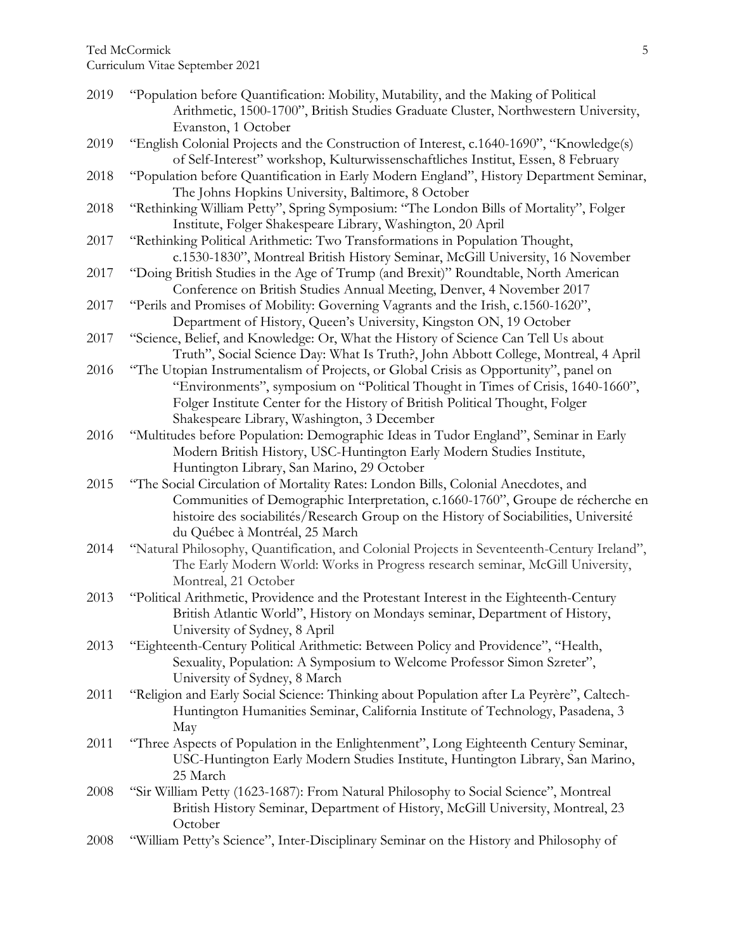Curriculum Vitae September 2021

| 2019 | "Population before Quantification: Mobility, Mutability, and the Making of Political        |
|------|---------------------------------------------------------------------------------------------|
|      | Arithmetic, 1500-1700", British Studies Graduate Cluster, Northwestern University,          |
|      | Evanston, 1 October                                                                         |
| 2019 | "English Colonial Projects and the Construction of Interest, c.1640-1690", "Knowledge(s)    |
|      | of Self-Interest" workshop, Kulturwissenschaftliches Institut, Essen, 8 February            |
| 2018 | "Population before Quantification in Early Modern England", History Department Seminar,     |
|      | The Johns Hopkins University, Baltimore, 8 October                                          |
| 2018 | "Rethinking William Petty", Spring Symposium: "The London Bills of Mortality", Folger       |
|      | Institute, Folger Shakespeare Library, Washington, 20 April                                 |
|      |                                                                                             |
| 2017 | "Rethinking Political Arithmetic: Two Transformations in Population Thought,                |
|      | c.1530-1830", Montreal British History Seminar, McGill University, 16 November              |
| 2017 | "Doing British Studies in the Age of Trump (and Brexit)" Roundtable, North American         |
|      | Conference on British Studies Annual Meeting, Denver, 4 November 2017                       |
| 2017 | "Perils and Promises of Mobility: Governing Vagrants and the Irish, c.1560-1620",           |
|      | Department of History, Queen's University, Kingston ON, 19 October                          |
| 2017 | "Science, Belief, and Knowledge: Or, What the History of Science Can Tell Us about          |
|      | Truth", Social Science Day: What Is Truth?, John Abbott College, Montreal, 4 April          |
| 2016 | "The Utopian Instrumentalism of Projects, or Global Crisis as Opportunity", panel on        |
|      | "Environments", symposium on "Political Thought in Times of Crisis, 1640-1660",             |
|      | Folger Institute Center for the History of British Political Thought, Folger                |
|      | Shakespeare Library, Washington, 3 December                                                 |
| 2016 | "Multitudes before Population: Demographic Ideas in Tudor England", Seminar in Early        |
|      | Modern British History, USC-Huntington Early Modern Studies Institute,                      |
|      | Huntington Library, San Marino, 29 October                                                  |
| 2015 | "The Social Circulation of Mortality Rates: London Bills, Colonial Anecdotes, and           |
|      | Communities of Demographic Interpretation, c.1660-1760", Groupe de récherche en             |
|      | histoire des sociabilités/Research Group on the History of Sociabilities, Université        |
|      | du Québec à Montréal, 25 March                                                              |
| 2014 | "Natural Philosophy, Quantification, and Colonial Projects in Seventeenth-Century Ireland", |
|      | The Early Modern World: Works in Progress research seminar, McGill University,              |
|      | Montreal, 21 October                                                                        |
| 2013 | "Political Arithmetic, Providence and the Protestant Interest in the Eighteenth-Century     |
|      | British Atlantic World", History on Mondays seminar, Department of History,                 |
|      |                                                                                             |
|      | University of Sydney, 8 April                                                               |
| 2013 | "Eighteenth-Century Political Arithmetic: Between Policy and Providence", "Health,          |
|      | Sexuality, Population: A Symposium to Welcome Professor Simon Szreter",                     |
|      | University of Sydney, 8 March                                                               |
| 2011 | "Religion and Early Social Science: Thinking about Population after La Peyrère", Caltech-   |
|      | Huntington Humanities Seminar, California Institute of Technology, Pasadena, 3              |
|      | May                                                                                         |
| 2011 | "Three Aspects of Population in the Enlightenment", Long Eighteenth Century Seminar,        |
|      | USC-Huntington Early Modern Studies Institute, Huntington Library, San Marino,              |
|      | 25 March                                                                                    |
| 2008 | "Sir William Petty (1623-1687): From Natural Philosophy to Social Science", Montreal        |
|      | British History Seminar, Department of History, McGill University, Montreal, 23             |
|      | October                                                                                     |
| 2008 | "William Petty's Science", Inter-Disciplinary Seminar on the History and Philosophy of      |
|      |                                                                                             |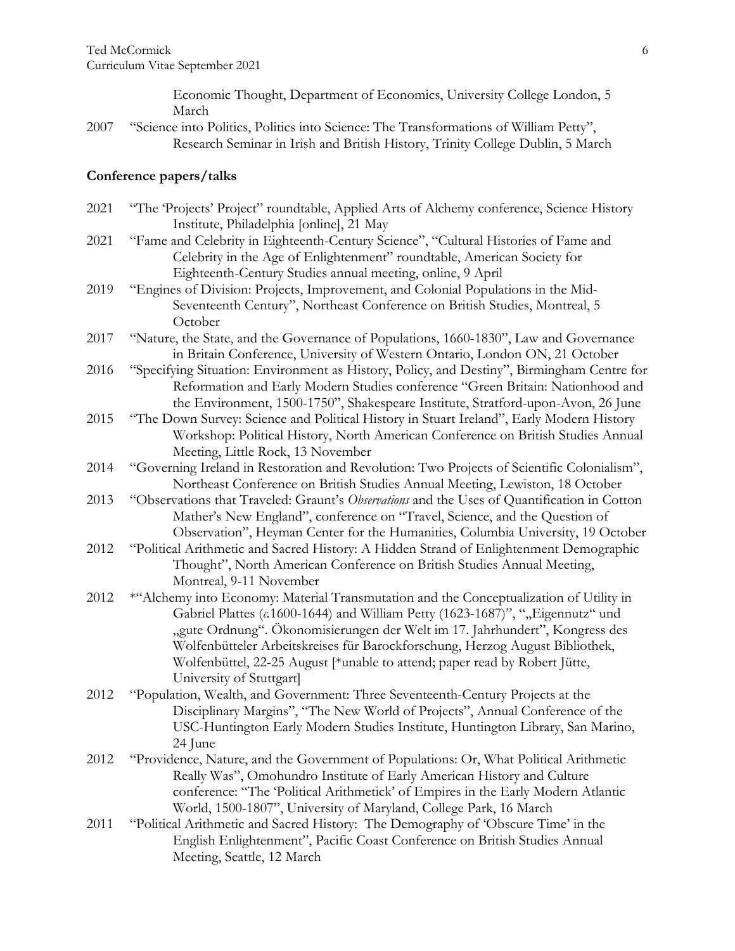Economic Thought, Department of Economics, University College London, 5 March

2007 "Science into Politics, Politics into Science: The Transformations of William Petty", Research Seminar in Irish and British History, Trinity College Dublin, 5 March

### **Conference papers/talks**

| 2021 | "The 'Projects' Project'' roundtable, Applied Arts of Alchemy conference, Science History<br>Institute, Philadelphia [online], 21 May                                                                                                                                                                                                                                                                                                             |
|------|---------------------------------------------------------------------------------------------------------------------------------------------------------------------------------------------------------------------------------------------------------------------------------------------------------------------------------------------------------------------------------------------------------------------------------------------------|
| 2021 | "Fame and Celebrity in Eighteenth-Century Science", "Cultural Histories of Fame and<br>Celebrity in the Age of Enlightenment" roundtable, American Society for<br>Eighteenth-Century Studies annual meeting, online, 9 April                                                                                                                                                                                                                      |
| 2019 | "Engines of Division: Projects, Improvement, and Colonial Populations in the Mid-<br>Seventeenth Century", Northeast Conference on British Studies, Montreal, 5<br>October                                                                                                                                                                                                                                                                        |
| 2017 | "Nature, the State, and the Governance of Populations, 1660-1830", Law and Governance<br>in Britain Conference, University of Western Ontario, London ON, 21 October                                                                                                                                                                                                                                                                              |
| 2016 | "Specifying Situation: Environment as History, Policy, and Destiny", Birmingham Centre for<br>Reformation and Early Modern Studies conference "Green Britain: Nationhood and<br>the Environment, 1500-1750", Shakespeare Institute, Stratford-upon-Avon, 26 June                                                                                                                                                                                  |
| 2015 | "The Down Survey: Science and Political History in Stuart Ireland", Early Modern History<br>Workshop: Political History, North American Conference on British Studies Annual<br>Meeting, Little Rock, 13 November                                                                                                                                                                                                                                 |
| 2014 | "Governing Ireland in Restoration and Revolution: Two Projects of Scientific Colonialism",<br>Northeast Conference on British Studies Annual Meeting, Lewiston, 18 October                                                                                                                                                                                                                                                                        |
| 2013 | "Observations that Traveled: Graunt's Observations and the Uses of Quantification in Cotton<br>Mather's New England", conference on "Travel, Science, and the Question of<br>Observation", Heyman Center for the Humanities, Columbia University, 19 October                                                                                                                                                                                      |
| 2012 | "Political Arithmetic and Sacred History: A Hidden Strand of Enlightenment Demographic<br>Thought", North American Conference on British Studies Annual Meeting,<br>Montreal, 9-11 November                                                                                                                                                                                                                                                       |
| 2012 | *"Alchemy into Economy: Material Transmutation and the Conceptualization of Utility in<br>Gabriel Plattes (c.1600-1644) and William Petty (1623-1687)", ""Eigennutz" und<br>"gute Ordnung". Ökonomisierungen der Welt im 17. Jahrhundert", Kongress des<br>Wolfenbütteler Arbeitskreises für Barockforschung, Herzog August Bibliothek,<br>Wolfenbüttel, 22-25 August [*unable to attend; paper read by Robert Jütte,<br>University of Stuttgart] |
| 2012 | "Population, Wealth, and Government: Three Seventeenth-Century Projects at the<br>Disciplinary Margins", "The New World of Projects", Annual Conference of the<br>USC-Huntington Early Modern Studies Institute, Huntington Library, San Marino,<br>24 June                                                                                                                                                                                       |
| 2012 | "Providence, Nature, and the Government of Populations: Or, What Political Arithmetic<br>Really Was", Omohundro Institute of Early American History and Culture<br>conference: "The 'Political Arithmetick' of Empires in the Early Modern Atlantic<br>World, 1500-1807", University of Maryland, College Park, 16 March                                                                                                                          |
| 2011 | "Political Arithmetic and Sacred History: The Demography of 'Obscure Time' in the<br>English Enlightenment", Pacific Coast Conference on British Studies Annual<br>Meeting, Seattle, 12 March                                                                                                                                                                                                                                                     |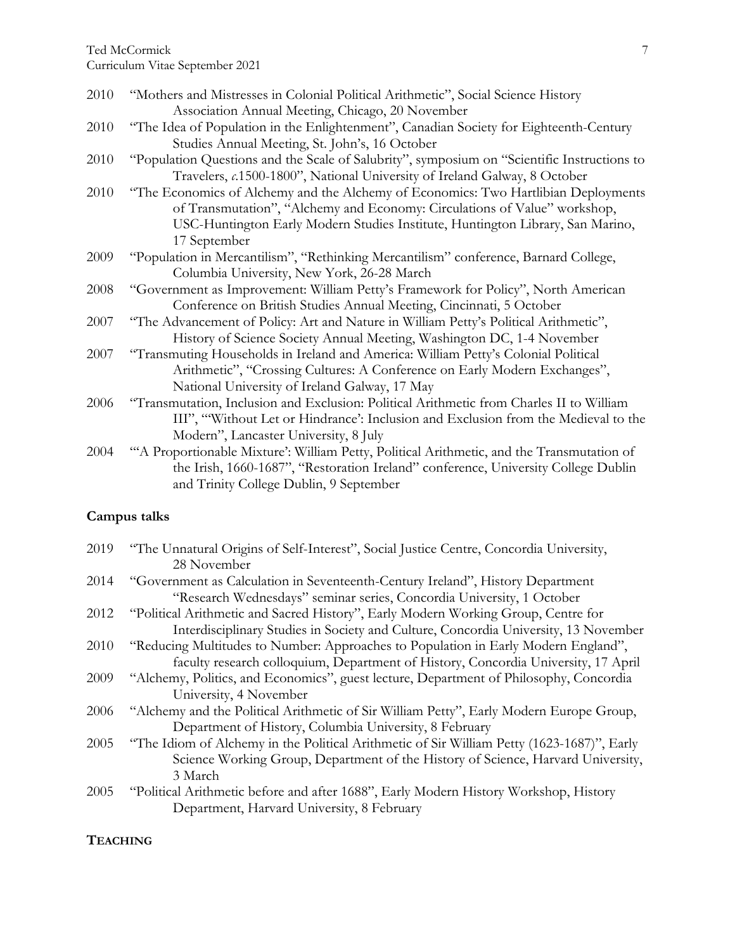Ted McCormick

Curriculum Vitae September 2021

| 2010 | "Mothers and Mistresses in Colonial Political Arithmetic", Social Science History           |
|------|---------------------------------------------------------------------------------------------|
|      | Association Annual Meeting, Chicago, 20 November                                            |
| 2010 | "The Idea of Population in the Enlightenment", Canadian Society for Eighteenth-Century      |
|      | Studies Annual Meeting, St. John's, 16 October                                              |
| 2010 | "Population Questions and the Scale of Salubrity", symposium on "Scientific Instructions to |
|      | Travelers, c.1500-1800", National University of Ireland Galway, 8 October                   |
| 2010 | "The Economics of Alchemy and the Alchemy of Economics: Two Hartlibian Deployments          |
|      | of Transmutation", "Alchemy and Economy: Circulations of Value" workshop,                   |
|      | USC-Huntington Early Modern Studies Institute, Huntington Library, San Marino,              |
|      | 17 September                                                                                |
| 2009 | "Population in Mercantilism", "Rethinking Mercantilism" conference, Barnard College,        |
|      | Columbia University, New York, 26-28 March                                                  |
| 2008 | "Government as Improvement: William Petty's Framework for Policy", North American           |
|      | Conference on British Studies Annual Meeting, Cincinnati, 5 October                         |
| 2007 | "The Advancement of Policy: Art and Nature in William Petty's Political Arithmetic",        |
|      | History of Science Society Annual Meeting, Washington DC, 1-4 November                      |
| 2007 | "Transmuting Households in Ireland and America: William Petty's Colonial Political          |
|      | Arithmetic", "Crossing Cultures: A Conference on Early Modern Exchanges",                   |
|      | National University of Ireland Galway, 17 May                                               |
| 2006 | "Transmutation, Inclusion and Exclusion: Political Arithmetic from Charles II to William    |
|      | III", "Without Let or Hindrance': Inclusion and Exclusion from the Medieval to the          |
|      | Modern", Lancaster University, 8 July                                                       |
| 2004 | "A Proportionable Mixture': William Petty, Political Arithmetic, and the Transmutation of   |
|      | the Irish, 1660-1687", "Restoration Ireland" conference, University College Dublin          |
|      | and Trinity College Dublin, 9 September                                                     |

# **Campus talks**

| 2019 | "The Unnatural Origins of Self-Interest", Social Justice Centre, Concordia University,     |
|------|--------------------------------------------------------------------------------------------|
|      | 28 November                                                                                |
| 2014 | "Government as Calculation in Seventeenth-Century Ireland", History Department             |
|      | "Research Wednesdays" seminar series, Concordia University, 1 October                      |
| 2012 | "Political Arithmetic and Sacred History", Early Modern Working Group, Centre for          |
|      | Interdisciplinary Studies in Society and Culture, Concordia University, 13 November        |
| 2010 | "Reducing Multitudes to Number: Approaches to Population in Early Modern England",         |
|      | faculty research colloquium, Department of History, Concordia University, 17 April         |
| 2009 | "Alchemy, Politics, and Economics", guest lecture, Department of Philosophy, Concordia     |
|      | University, 4 November                                                                     |
| 2006 | "Alchemy and the Political Arithmetic of Sir William Petty", Early Modern Europe Group,    |
|      | Department of History, Columbia University, 8 February                                     |
| 2005 | "The Idiom of Alchemy in the Political Arithmetic of Sir William Petty (1623-1687)", Early |
|      | Science Working Group, Department of the History of Science, Harvard University,           |
|      | 3 March                                                                                    |
| 2005 | "Political Arithmetic before and after 1688", Early Modern History Workshop, History       |
|      | Department, Harvard University, 8 February                                                 |

# **TEACHING**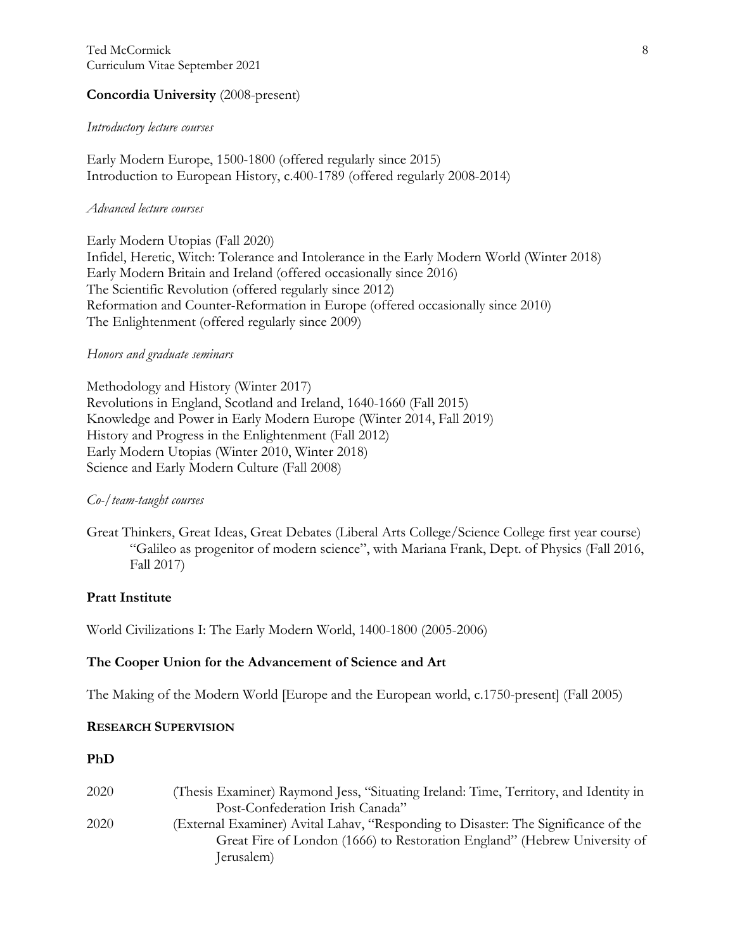# **Concordia University** (2008-present)

#### *Introductory lecture courses*

Early Modern Europe, 1500-1800 (offered regularly since 2015) Introduction to European History, c.400-1789 (offered regularly 2008-2014)

### *Advanced lecture courses*

Early Modern Utopias (Fall 2020) Infidel, Heretic, Witch: Tolerance and Intolerance in the Early Modern World (Winter 2018) Early Modern Britain and Ireland (offered occasionally since 2016) The Scientific Revolution (offered regularly since 2012) Reformation and Counter-Reformation in Europe (offered occasionally since 2010) The Enlightenment (offered regularly since 2009)

# *Honors and graduate seminars*

Methodology and History (Winter 2017) Revolutions in England, Scotland and Ireland, 1640-1660 (Fall 2015) Knowledge and Power in Early Modern Europe (Winter 2014, Fall 2019) History and Progress in the Enlightenment (Fall 2012) Early Modern Utopias (Winter 2010, Winter 2018) Science and Early Modern Culture (Fall 2008)

# *Co-/team-taught courses*

Great Thinkers, Great Ideas, Great Debates (Liberal Arts College/Science College first year course) "Galileo as progenitor of modern science", with Mariana Frank, Dept. of Physics (Fall 2016, Fall 2017)

# **Pratt Institute**

World Civilizations I: The Early Modern World, 1400-1800 (2005-2006)

# **The Cooper Union for the Advancement of Science and Art**

The Making of the Modern World [Europe and the European world, c.1750-present] (Fall 2005)

# **RESEARCH SUPERVISION**

#### **PhD**

| 2020 | (Thesis Examiner) Raymond Jess, "Situating Ireland: Time, Territory, and Identity in |
|------|--------------------------------------------------------------------------------------|
|      | Post-Confederation Irish Canada"                                                     |
| 2020 | (External Examiner) Avital Lahav, "Responding to Disaster: The Significance of the   |
|      | Great Fire of London (1666) to Restoration England" (Hebrew University of            |
|      | Jerusalem)                                                                           |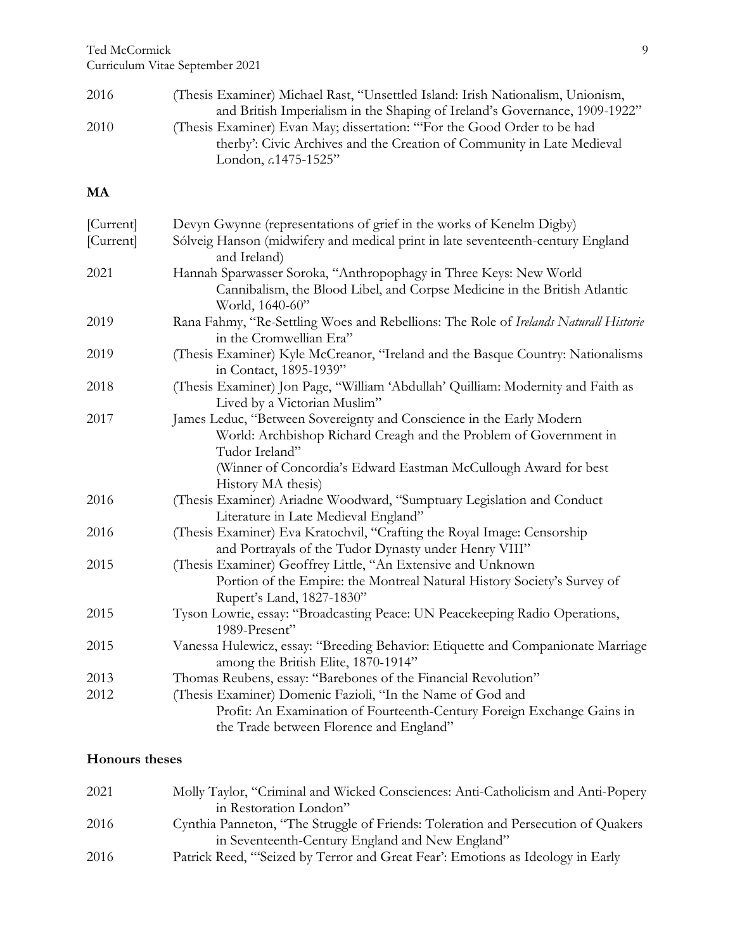Ted McCormick

Curriculum Vitae September 2021

| 2016 | (Thesis Examiner) Michael Rast, "Unsettled Island: Irish Nationalism, Unionism, |
|------|---------------------------------------------------------------------------------|
|      | and British Imperialism in the Shaping of Ireland's Governance, 1909-1922"      |
| 2010 | (Thesis Examiner) Evan May; dissertation: "For the Good Order to be had         |
|      | therby': Civic Archives and the Creation of Community in Late Medieval          |
|      | London, $c.1475-1525$ "                                                         |

# **MA**

| [Current]<br>[Current] | Devyn Gwynne (representations of grief in the works of Kenelm Digby)<br>Sólveig Hanson (midwifery and medical print in late seventeenth-century England |
|------------------------|---------------------------------------------------------------------------------------------------------------------------------------------------------|
|                        | and Ireland)                                                                                                                                            |
| 2021                   | Hannah Sparwasser Soroka, "Anthropophagy in Three Keys: New World                                                                                       |
|                        | Cannibalism, the Blood Libel, and Corpse Medicine in the British Atlantic<br>World, 1640-60"                                                            |
| 2019                   | Rana Fahmy, "Re-Settling Woes and Rebellions: The Role of Irelands Naturall Historie<br>in the Cromwellian Era"                                         |
| 2019                   | (Thesis Examiner) Kyle McCreanor, "Ireland and the Basque Country: Nationalisms<br>in Contact, 1895-1939"                                               |
| 2018                   | (Thesis Examiner) Jon Page, "William 'Abdullah' Quilliam: Modernity and Faith as<br>Lived by a Victorian Muslim"                                        |
| 2017                   | James Leduc, "Between Sovereignty and Conscience in the Early Modern                                                                                    |
|                        | World: Archbishop Richard Creagh and the Problem of Government in                                                                                       |
|                        | Tudor Ireland"                                                                                                                                          |
|                        | (Winner of Concordia's Edward Eastman McCullough Award for best                                                                                         |
|                        | History MA thesis)                                                                                                                                      |
| 2016                   | (Thesis Examiner) Ariadne Woodward, "Sumptuary Legislation and Conduct<br>Literature in Late Medieval England"                                          |
| 2016                   | (Thesis Examiner) Eva Kratochvil, "Crafting the Royal Image: Censorship<br>and Portrayals of the Tudor Dynasty under Henry VIII"                        |
| 2015                   | (Thesis Examiner) Geoffrey Little, "An Extensive and Unknown                                                                                            |
|                        | Portion of the Empire: the Montreal Natural History Society's Survey of<br>Rupert's Land, 1827-1830"                                                    |
| 2015                   | Tyson Lowrie, essay: "Broadcasting Peace: UN Peacekeeping Radio Operations,<br>1989-Present"                                                            |
| 2015                   | Vanessa Hulewicz, essay: "Breeding Behavior: Etiquette and Companionate Marriage<br>among the British Elite, 1870-1914"                                 |
| 2013                   | Thomas Reubens, essay: "Barebones of the Financial Revolution"                                                                                          |
| 2012                   | (Thesis Examiner) Domenic Fazioli, "In the Name of God and                                                                                              |
|                        | Profit: An Examination of Fourteenth-Century Foreign Exchange Gains in<br>the Trade between Florence and England"                                       |

# **Honours theses**

| 2021 | Molly Taylor, "Criminal and Wicked Consciences: Anti-Catholicism and Anti-Popery  |
|------|-----------------------------------------------------------------------------------|
|      | in Restoration London"                                                            |
| 2016 | Cynthia Panneton, "The Struggle of Friends: Toleration and Persecution of Quakers |
|      | in Seventeenth-Century England and New England"                                   |
| 2016 | Patrick Reed, "Seized by Terror and Great Fear': Emotions as Ideology in Early    |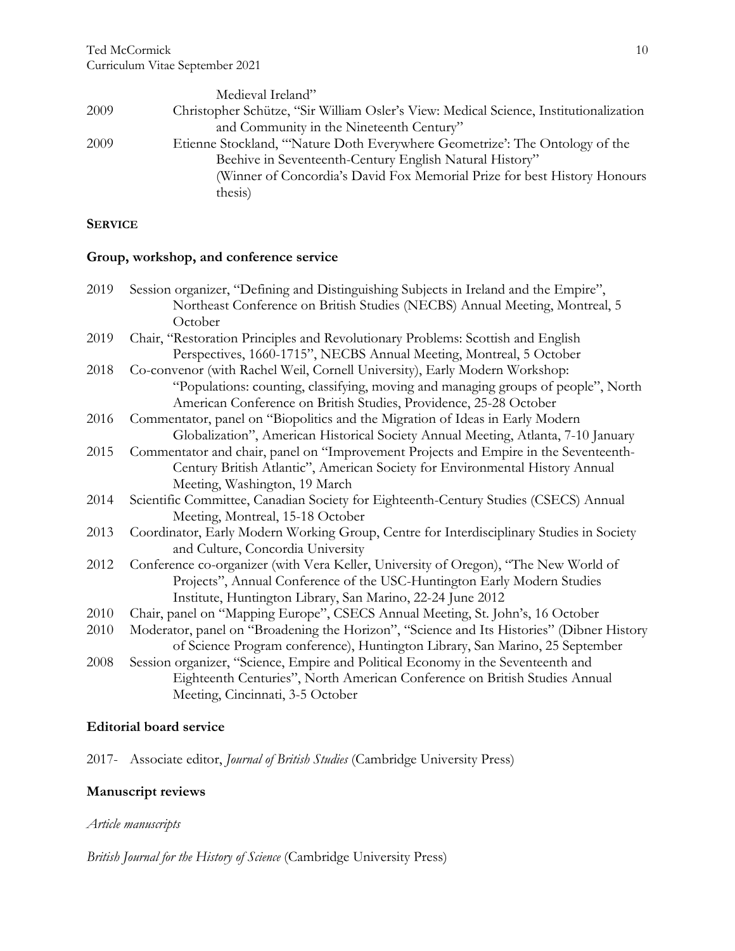|      | Medieval Ireland"                                                                     |
|------|---------------------------------------------------------------------------------------|
| 2009 | Christopher Schütze, "Sir William Osler's View: Medical Science, Institutionalization |
|      | and Community in the Nineteenth Century"                                              |
| 2009 | Etienne Stockland, "Nature Doth Everywhere Geometrize': The Ontology of the           |
|      | Beehive in Seventeenth-Century English Natural History"                               |
|      | (Winner of Concordia's David Fox Memorial Prize for best History Honours              |
|      | thesis)                                                                               |

### **SERVICE**

# **Group, workshop, and conference service**

| 2019 | Session organizer, "Defining and Distinguishing Subjects in Ireland and the Empire",                                                                   |
|------|--------------------------------------------------------------------------------------------------------------------------------------------------------|
|      | Northeast Conference on British Studies (NECBS) Annual Meeting, Montreal, 5                                                                            |
|      | October                                                                                                                                                |
| 2019 | Chair, "Restoration Principles and Revolutionary Problems: Scottish and English                                                                        |
|      | Perspectives, 1660-1715", NECBS Annual Meeting, Montreal, 5 October                                                                                    |
| 2018 | Co-convenor (with Rachel Weil, Cornell University), Early Modern Workshop:                                                                             |
|      | "Populations: counting, classifying, moving and managing groups of people", North<br>American Conference on British Studies, Providence, 25-28 October |
| 2016 | Commentator, panel on "Biopolitics and the Migration of Ideas in Early Modern                                                                          |
|      | Globalization", American Historical Society Annual Meeting, Atlanta, 7-10 January                                                                      |
| 2015 | Commentator and chair, panel on "Improvement Projects and Empire in the Seventeenth-                                                                   |
|      | Century British Atlantic", American Society for Environmental History Annual                                                                           |
|      | Meeting, Washington, 19 March                                                                                                                          |
| 2014 | Scientific Committee, Canadian Society for Eighteenth-Century Studies (CSECS) Annual                                                                   |
|      | Meeting, Montreal, 15-18 October                                                                                                                       |
| 2013 | Coordinator, Early Modern Working Group, Centre for Interdisciplinary Studies in Society                                                               |
|      | and Culture, Concordia University                                                                                                                      |
| 2012 | Conference co-organizer (with Vera Keller, University of Oregon), "The New World of                                                                    |
|      | Projects", Annual Conference of the USC-Huntington Early Modern Studies                                                                                |
|      | Institute, Huntington Library, San Marino, 22-24 June 2012                                                                                             |
| 2010 | Chair, panel on "Mapping Europe", CSECS Annual Meeting, St. John's, 16 October                                                                         |
| 2010 | Moderator, panel on "Broadening the Horizon", "Science and Its Histories" (Dibner History                                                              |
|      | of Science Program conference), Huntington Library, San Marino, 25 September                                                                           |
| 2008 | Session organizer, "Science, Empire and Political Economy in the Seventeenth and                                                                       |
|      | Eighteenth Centuries", North American Conference on British Studies Annual                                                                             |
|      | Meeting, Cincinnati, 3-5 October                                                                                                                       |

# **Editorial board service**

2017- Associate editor, *Journal of British Studies* (Cambridge University Press)

# **Manuscript reviews**

# *Article manuscripts*

*British Journal for the History of Science* (Cambridge University Press)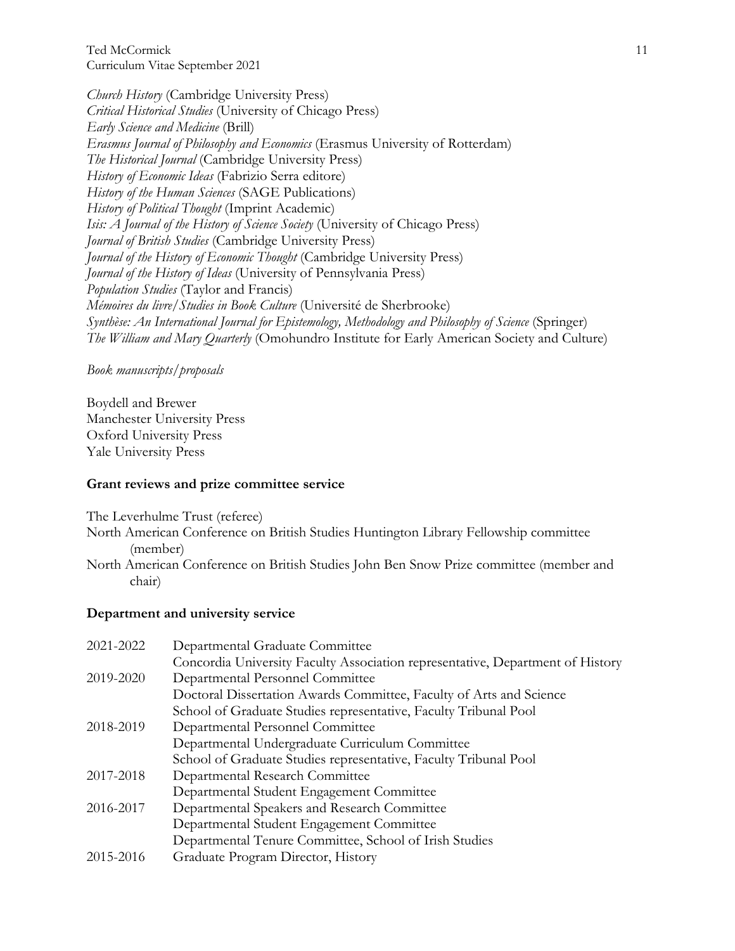Ted McCormick Curriculum Vitae September 2021

*Church History* (Cambridge University Press) *Critical Historical Studies* (University of Chicago Press) *Early Science and Medicine* (Brill) *Erasmus Journal of Philosophy and Economics* (Erasmus University of Rotterdam) *The Historical Journal* (Cambridge University Press) *History of Economic Ideas* (Fabrizio Serra editore) *History of the Human Sciences* (SAGE Publications) *History of Political Thought* (Imprint Academic) *Isis: A Journal of the History of Science Society* (University of Chicago Press) *Journal of British Studies* (Cambridge University Press) *Journal of the History of Economic Thought* (Cambridge University Press) *Journal of the History of Ideas* (University of Pennsylvania Press) *Population Studies* (Taylor and Francis) *Mémoires du livre/Studies in Book Culture* (Université de Sherbrooke) *Synthèse: An International Journal for Epistemology, Methodology and Philosophy of Science* (Springer) *The William and Mary Quarterly* (Omohundro Institute for Early American Society and Culture)

#### *Book manuscripts/proposals*

Boydell and Brewer Manchester University Press Oxford University Press Yale University Press

#### **Grant reviews and prize committee service**

The Leverhulme Trust (referee)

- North American Conference on British Studies Huntington Library Fellowship committee (member)
- North American Conference on British Studies John Ben Snow Prize committee (member and chair)

#### **Department and university service**

| 2021-2022 | Departmental Graduate Committee                                                |
|-----------|--------------------------------------------------------------------------------|
|           | Concordia University Faculty Association representative, Department of History |
| 2019-2020 | Departmental Personnel Committee                                               |
|           | Doctoral Dissertation Awards Committee, Faculty of Arts and Science            |
|           | School of Graduate Studies representative, Faculty Tribunal Pool               |
| 2018-2019 | Departmental Personnel Committee                                               |
|           | Departmental Undergraduate Curriculum Committee                                |
|           | School of Graduate Studies representative, Faculty Tribunal Pool               |
| 2017-2018 | Departmental Research Committee                                                |
|           | Departmental Student Engagement Committee                                      |
| 2016-2017 | Departmental Speakers and Research Committee                                   |
|           | Departmental Student Engagement Committee                                      |
|           | Departmental Tenure Committee, School of Irish Studies                         |
| 2015-2016 | Graduate Program Director, History                                             |